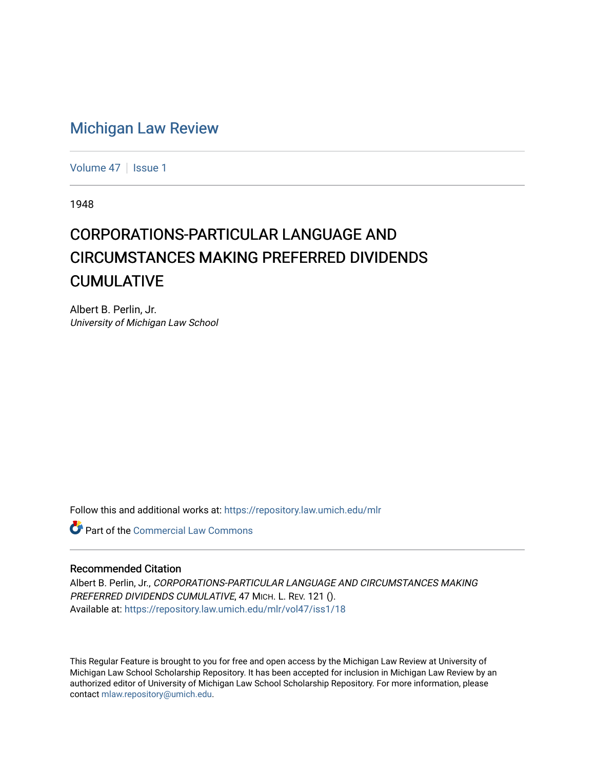## [Michigan Law Review](https://repository.law.umich.edu/mlr)

[Volume 47](https://repository.law.umich.edu/mlr/vol47) | [Issue 1](https://repository.law.umich.edu/mlr/vol47/iss1)

1948

## CORPORATIONS-PARTICULAR LANGUAGE AND CIRCUMSTANCES MAKING PREFERRED DIVIDENDS **CUMULATIVE**

Albert B. Perlin, Jr. University of Michigan Law School

Follow this and additional works at: [https://repository.law.umich.edu/mlr](https://repository.law.umich.edu/mlr?utm_source=repository.law.umich.edu%2Fmlr%2Fvol47%2Fiss1%2F18&utm_medium=PDF&utm_campaign=PDFCoverPages) 

**C** Part of the [Commercial Law Commons](http://network.bepress.com/hgg/discipline/586?utm_source=repository.law.umich.edu%2Fmlr%2Fvol47%2Fiss1%2F18&utm_medium=PDF&utm_campaign=PDFCoverPages)

## Recommended Citation

Albert B. Perlin, Jr., CORPORATIONS-PARTICULAR LANGUAGE AND CIRCUMSTANCES MAKING PREFERRED DIVIDENDS CUMULATIVE, 47 MICH. L. REV. 121 (). Available at: [https://repository.law.umich.edu/mlr/vol47/iss1/18](https://repository.law.umich.edu/mlr/vol47/iss1/18?utm_source=repository.law.umich.edu%2Fmlr%2Fvol47%2Fiss1%2F18&utm_medium=PDF&utm_campaign=PDFCoverPages) 

This Regular Feature is brought to you for free and open access by the Michigan Law Review at University of Michigan Law School Scholarship Repository. It has been accepted for inclusion in Michigan Law Review by an authorized editor of University of Michigan Law School Scholarship Repository. For more information, please contact [mlaw.repository@umich.edu](mailto:mlaw.repository@umich.edu).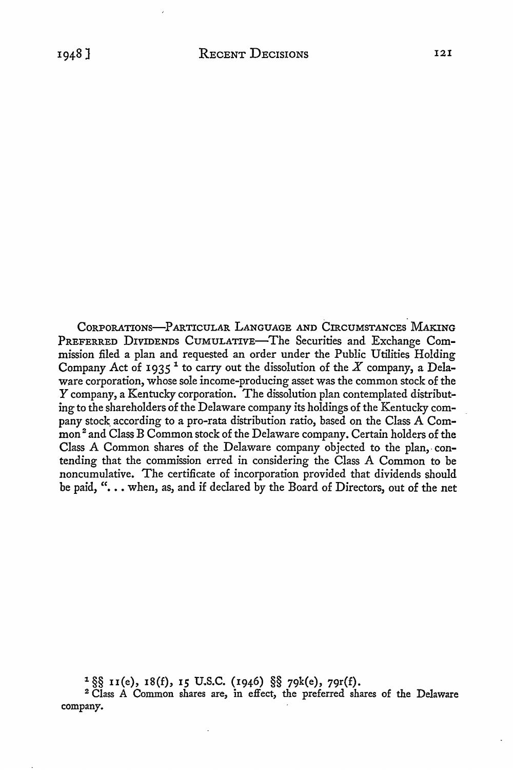CORPORATIONS-PARTICULAR LANGUAGE AND CIRCUMSTANCES. MAKING PREFERRED DIVIDENDS CUMULATIVE-The Securities and Exchange Commission filed a plan and requested an order under the Public Utilities Holding Company Act of 1935<sup>1</sup> to carry out the dissolution of the  $X$  company, a Delaware corporation, whose sole income-producing asset was the common stock of the Y company, a Kentucky corporation. The dissolution plan contemplated distributing to the shareholders of the Delaware company its holdings of the Kentucky company stock according to a pro-rata distribution ratio, based on the Class A Common<sup>2</sup> and Class B Common stock of the Delaware company. Certain holders of the Class A Common shares of the Delaware company objected to the plan, contending that the commission erred in considering the Class A Common to be noncumulative. The certificate of incorporation provided that dividends should be paid, "... when, as, and if declared by the Board of Directors, out of the net

1 §§ II(e), **18(£), 15** U.S.C. (1946) §§ 79k(e), 79r(f).

<sup>2</sup>Class A Common shares are, in effect, the preferred shares of the Delaware company.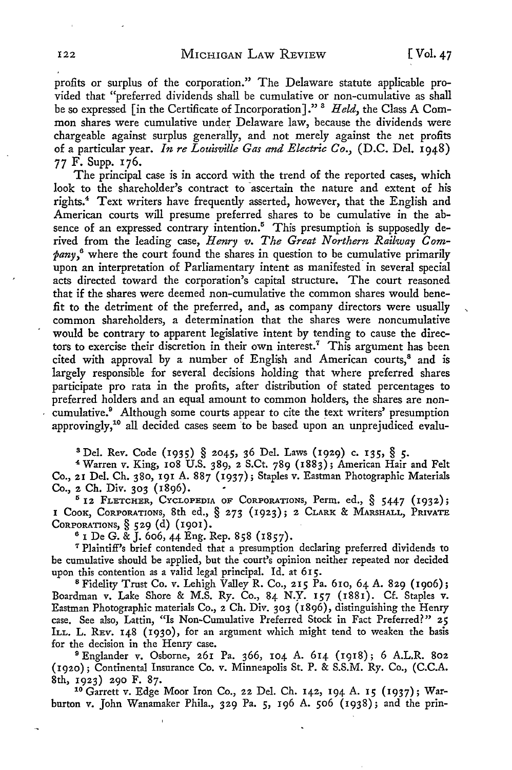profits or surplus of the corporation." The Delaware statute applicable provided that "preferred dividends shall be cumulative or non-cumulative as shall be so expressed [in the Certificate of Incorporation]."<sup>3</sup> *Held*, the Class A Common shares were cumulative under Delaware law, because the dividends were chargeable against surplus generally, and not merely against the net profits of a particular year. *In re Louisville Gas and Electric Co.,* (D.C. Del. 1948) 77 F. Supp. 176.

The principal case is in accord with the trend of the reported cases, which look to the shareholder's contract to ascertain the nature and extent of his rights.<sup>4</sup> Text writers have frequently asserted, however, that the English and American courts will presume preferred shares to be cumulative in the absence of an expressed contrary intention.<sup>5</sup> This presumption is supposedly derived from the leading case, *Henry v. The Great Northern Railway Company,6* where the court found the shares in question to be cumulative primarily upon an interpretation of Parliamentary intent as manifested in several special acts directed toward the corporation's capital structure. The court reasoned that if the shares were deemed non-cumulative the common shares would benefit to the detriment of the preferred, and, as company directors were usually common shareholders, a determination that the shares were noncumulative would be contrary to apparent legislative intent by tending to cause the directors to exercise their discretion in their own interest.<sup>7</sup> This argument has been cited with approval by a number of English and American courts,<sup>8</sup> and is largely responsible for several decisions holding that where preferred shares participate pro rata in the profits, after distribution of stated percentages to preferred holders and an equal amount to common holders, the shares are noncumulative.<sup>9</sup> Although some courts appear to cite the text writers' presumption approvingly,1° all decided cases seem to be based upon an unprejudiced evalu-

s Del. *Rev.* Code (1935) § 2045, 36 Del. Laws (1929) c. 135, § 5.

<sup>4</sup>Warren v. King, 108 U.S. 389, 2 S.Ct. 789 (1883); American Hair and Felt Co., 21 Del. Ch. 380, 191 A. 887 (1937); Staples v. Eastman Photographic Materials Co., 2 Ch. Div. 303 (1896).

 $5$  12 FLETCHER, CYCLOPEDIA OF CORPORATIONS, Perm. ed.,  $§$  5447 (1932); 1 CooK, CoRPORATIONs, 8th ed., § 273 (1923); 2 CLARK & MARSHALL, PRIVATE CORPORATIONS,§ 529 (d) (1901).

6 1 De G. & J. 606, 44 Eng. Rep. 858 (1857).

*<sup>1</sup>*Plaintiff's brief contended that a presumption declaring preferred dividends to be cumulative should be applied, but the court's opinion neither repeated nor decided upon this contention as a valid legal principal. Id. at 615.

<sup>8</sup> Fidelity Trust Co. v. Lehigh Valley R. Co., 215 Pa. 610, 64 A. 829 (1906); Boardman v. Lake Shore & M.S. Ry. Co., 84 N.y. 157 (1881). Cf. Staples **v.**  Eastman Photographic materials Co., 2 Ch. Div. 303 (1896), distinguishing the Henry case. See also, Lattin, "Is Non-Cumulative Preferred Stock in Fact Preferred?" **25**  ILL. L. REV. 148 (1930), for an argument which might tend to weaken the basis for the decision in the Henry case.

<sup>9</sup>Englander v. Osborne, 261 Pa. 366, 104 A. 614 (1918); 6 A.L.R. 802 (1920); Continental Insurance Co. v. Minneapolis St. P. & S.S.M. Ry. Co., (C.C.A. 8th, 1923) 290 F. 87.<br><sup>10</sup> Garrett v. Edge Moor Iron Co., 22 Del. Ch. 142, 194 A. 15 (1937); War-

burton v. John Wanamaker Phila., 329 Pa. 5, 196 A. 506 (1938); and the prin-